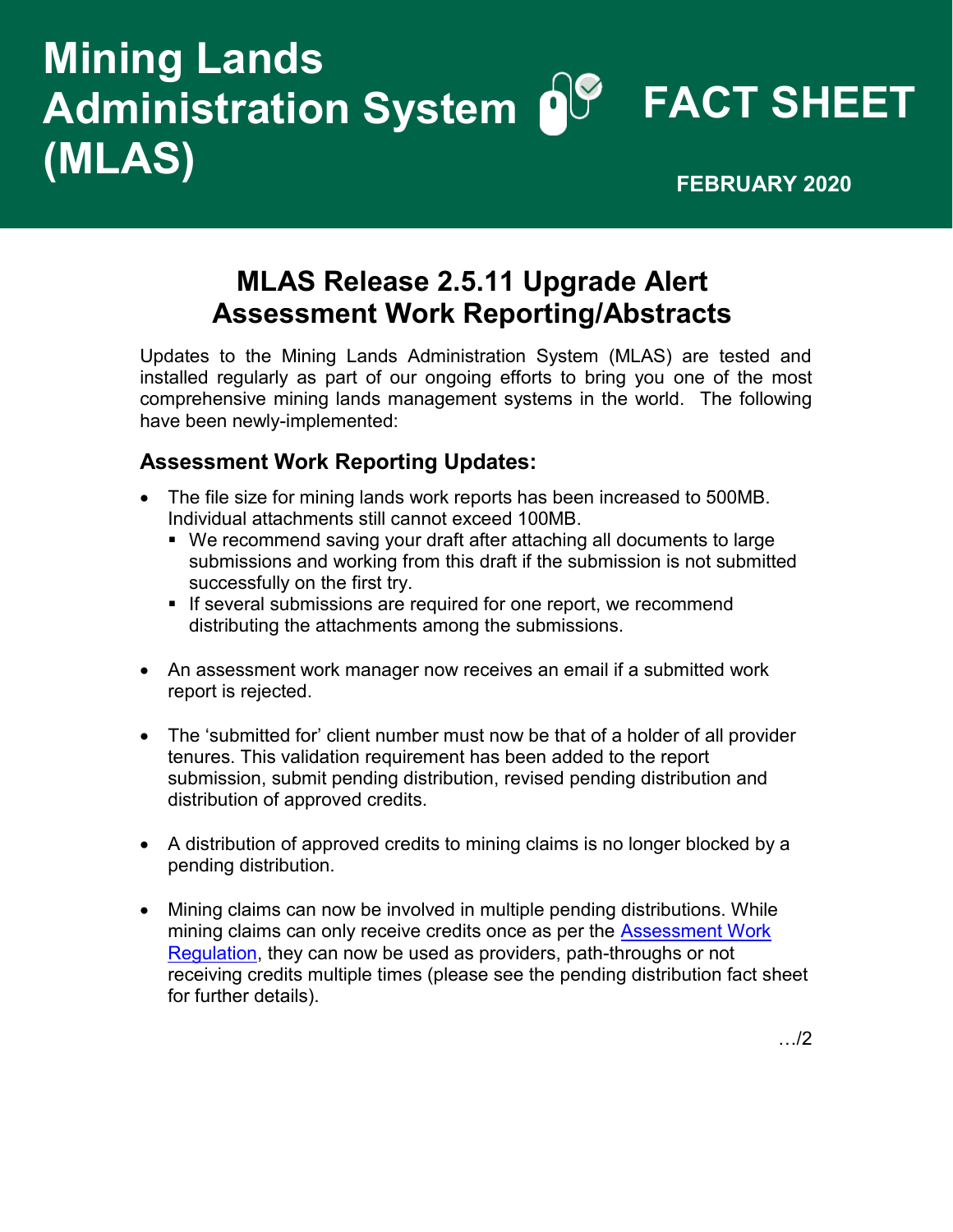## **FACT SHEET Administration System Mining Lands (MLAS) FEBRUARY 2020**

## **MLAS Release 2.5.11 Upgrade Alert Assessment Work Reporting/Abstracts**

Updates to the Mining Lands Administration System (MLAS) are tested and installed regularly as part of our ongoing efforts to bring you one of the most comprehensive mining lands management systems in the world. The following have been newly-implemented:

## **Assessment Work Reporting Updates:**

- The file size for mining lands work reports has been increased to 500MB. Individual attachments still cannot exceed 100MB.
	- We recommend saving your draft after attaching all documents to large submissions and working from this draft if the submission is not submitted successfully on the first try.
	- **.** If several submissions are required for one report, we recommend distributing the attachments among the submissions.
- An assessment work manager now receives an email if a submitted work report is rejected.
- The 'submitted for' client number must now be that of a holder of all provider tenures. This validation requirement has been added to the report submission, submit pending distribution, revised pending distribution and distribution of approved credits.
- A distribution of approved credits to mining claims is no longer blocked by a pending distribution.
- Mining claims can now be involved in multiple pending distributions. While mining claims can only receive credits once as per the **Assessment Work** [Regulation,](https://www.ontario.ca/laws/regulation/180065) they can now be used as providers, path-throughs or not receiving credits multiple times (please see the pending distribution fact sheet for further details).

…/2